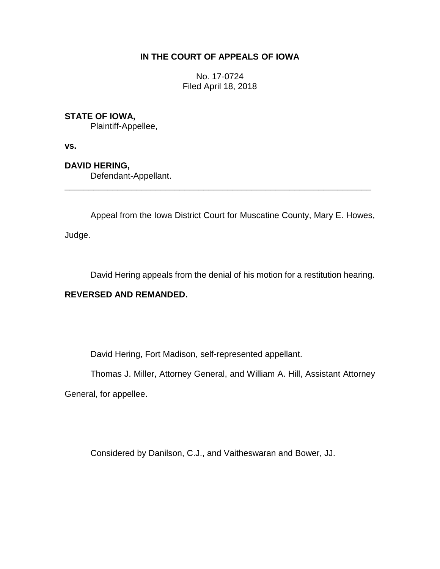# **IN THE COURT OF APPEALS OF IOWA**

No. 17-0724 Filed April 18, 2018

### **STATE OF IOWA,**

Plaintiff-Appellee,

**vs.**

**DAVID HERING,**

Defendant-Appellant.

Appeal from the Iowa District Court for Muscatine County, Mary E. Howes,

\_\_\_\_\_\_\_\_\_\_\_\_\_\_\_\_\_\_\_\_\_\_\_\_\_\_\_\_\_\_\_\_\_\_\_\_\_\_\_\_\_\_\_\_\_\_\_\_\_\_\_\_\_\_\_\_\_\_\_\_\_\_\_\_

Judge.

David Hering appeals from the denial of his motion for a restitution hearing.

# **REVERSED AND REMANDED.**

David Hering, Fort Madison, self-represented appellant.

Thomas J. Miller, Attorney General, and William A. Hill, Assistant Attorney

General, for appellee.

Considered by Danilson, C.J., and Vaitheswaran and Bower, JJ.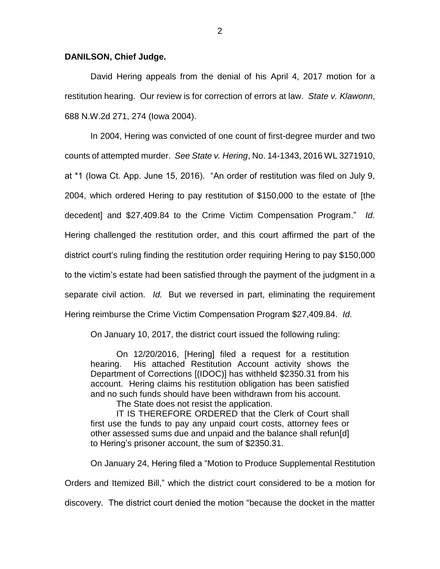#### **DANILSON, Chief Judge.**

David Hering appeals from the denial of his April 4, 2017 motion for a restitution hearing. Our review is for correction of errors at law. *State v. Klawonn*, 688 N.W.2d 271, 274 (Iowa 2004).

In 2004, Hering was convicted of one count of first-degree murder and two counts of attempted murder. *See State v. Hering*, No. 14-1343, 2016 WL 3271910, at \*1 (Iowa Ct. App. June 15, 2016). "An order of restitution was filed on July 9, 2004, which ordered Hering to pay restitution of \$150,000 to the estate of [the decedent] and \$27,409.84 to the Crime Victim Compensation Program." *Id.*  Hering challenged the restitution order, and this court affirmed the part of the district court's ruling finding the restitution order requiring Hering to pay \$150,000 to the victim's estate had been satisfied through the payment of the judgment in a separate civil action. *Id.* But we reversed in part, eliminating the requirement Hering reimburse the Crime Victim Compensation Program \$27,409.84. *Id.*

On January 10, 2017, the district court issued the following ruling:

On 12/20/2016, [Hering] filed a request for a restitution hearing. His attached Restitution Account activity shows the Department of Corrections [(IDOC)] has withheld \$2350.31 from his account. Hering claims his restitution obligation has been satisfied and no such funds should have been withdrawn from his account.

The State does not resist the application.

IT IS THEREFORE ORDERED that the Clerk of Court shall first use the funds to pay any unpaid court costs, attorney fees or other assessed sums due and unpaid and the balance shall refun[d] to Hering's prisoner account, the sum of \$2350.31.

On January 24, Hering filed a "Motion to Produce Supplemental Restitution Orders and Itemized Bill," which the district court considered to be a motion for discovery. The district court denied the motion "because the docket in the matter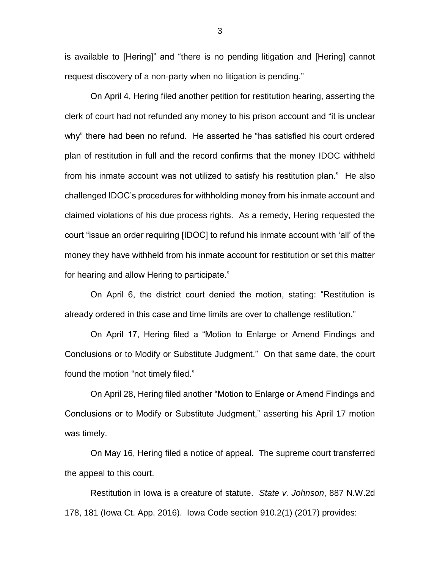is available to [Hering]" and "there is no pending litigation and [Hering] cannot request discovery of a non-party when no litigation is pending."

On April 4, Hering filed another petition for restitution hearing, asserting the clerk of court had not refunded any money to his prison account and "it is unclear why" there had been no refund. He asserted he "has satisfied his court ordered plan of restitution in full and the record confirms that the money IDOC withheld from his inmate account was not utilized to satisfy his restitution plan." He also challenged IDOC's procedures for withholding money from his inmate account and claimed violations of his due process rights. As a remedy, Hering requested the court "issue an order requiring [IDOC] to refund his inmate account with 'all' of the money they have withheld from his inmate account for restitution or set this matter for hearing and allow Hering to participate."

On April 6, the district court denied the motion, stating: "Restitution is already ordered in this case and time limits are over to challenge restitution."

On April 17, Hering filed a "Motion to Enlarge or Amend Findings and Conclusions or to Modify or Substitute Judgment." On that same date, the court found the motion "not timely filed."

On April 28, Hering filed another "Motion to Enlarge or Amend Findings and Conclusions or to Modify or Substitute Judgment," asserting his April 17 motion was timely.

On May 16, Hering filed a notice of appeal. The supreme court transferred the appeal to this court.

Restitution in Iowa is a creature of statute. *State v. Johnson*, 887 N.W.2d 178, 181 (Iowa Ct. App. 2016). Iowa Code section 910.2(1) (2017) provides:

3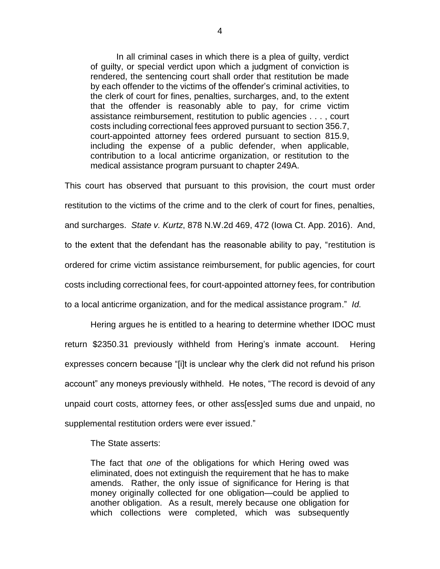In all criminal cases in which there is a plea of guilty, verdict of guilty, or special verdict upon which a judgment of conviction is rendered, the sentencing court shall order that restitution be made by each offender to the victims of the offender's criminal activities, to the clerk of court for fines, penalties, surcharges, and, to the extent that the offender is reasonably able to pay, for crime victim assistance reimbursement, restitution to public agencies . . . , court costs including correctional fees approved pursuant to section 356.7, court-appointed attorney fees ordered pursuant to section 815.9, including the expense of a public defender, when applicable, contribution to a local anticrime organization, or restitution to the medical assistance program pursuant to chapter 249A.

This court has observed that pursuant to this provision, the court must order restitution to the victims of the crime and to the clerk of court for fines, penalties, and surcharges. *State v. Kurtz*, 878 N.W.2d 469, 472 (Iowa Ct. App. 2016). And, to the extent that the defendant has the reasonable ability to pay, "restitution is ordered for crime victim assistance reimbursement, for public agencies, for court costs including correctional fees, for court-appointed attorney fees, for contribution to a local anticrime organization, and for the medical assistance program." *Id.*

Hering argues he is entitled to a hearing to determine whether IDOC must return \$2350.31 previously withheld from Hering's inmate account. Hering expresses concern because "[i]t is unclear why the clerk did not refund his prison account" any moneys previously withheld. He notes, "The record is devoid of any unpaid court costs, attorney fees, or other ass[ess]ed sums due and unpaid, no supplemental restitution orders were ever issued."

The State asserts:

The fact that *one* of the obligations for which Hering owed was eliminated, does not extinguish the requirement that he has to make amends. Rather, the only issue of significance for Hering is that money originally collected for one obligation—could be applied to another obligation. As a result, merely because one obligation for which collections were completed, which was subsequently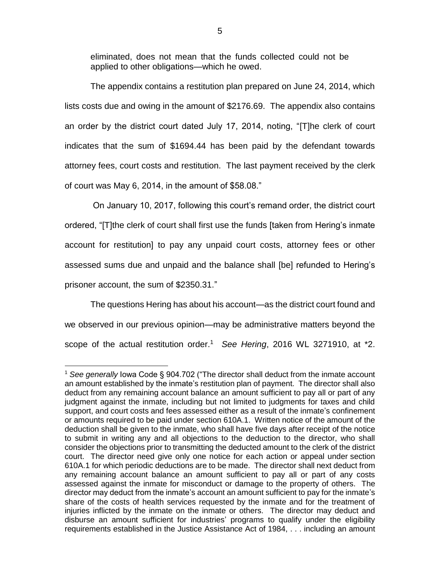eliminated, does not mean that the funds collected could not be applied to other obligations—which he owed.

The appendix contains a restitution plan prepared on June 24, 2014, which lists costs due and owing in the amount of \$2176.69. The appendix also contains an order by the district court dated July 17, 2014, noting, "[T]he clerk of court indicates that the sum of \$1694.44 has been paid by the defendant towards attorney fees, court costs and restitution. The last payment received by the clerk of court was May 6, 2014, in the amount of \$58.08."

On January 10, 2017, following this court's remand order, the district court ordered, "[T]the clerk of court shall first use the funds [taken from Hering's inmate account for restitution] to pay any unpaid court costs, attorney fees or other assessed sums due and unpaid and the balance shall [be] refunded to Hering's prisoner account, the sum of \$2350.31."

The questions Hering has about his account—as the district court found and we observed in our previous opinion—may be administrative matters beyond the scope of the actual restitution order.<sup>1</sup> See Hering, 2016 WL 3271910, at \*2.

 $\overline{a}$ 

<sup>1</sup> *See generally* Iowa Code § 904.702 ("The director shall deduct from the inmate account an amount established by the inmate's restitution plan of payment. The director shall also deduct from any remaining account balance an amount sufficient to pay all or part of any judgment against the inmate, including but not limited to judgments for taxes and child support, and court costs and fees assessed either as a result of the inmate's confinement or amounts required to be paid under section 610A.1. Written notice of the amount of the deduction shall be given to the inmate, who shall have five days after receipt of the notice to submit in writing any and all objections to the deduction to the director, who shall consider the objections prior to transmitting the deducted amount to the clerk of the district court. The director need give only one notice for each action or appeal under section 610A.1 for which periodic deductions are to be made. The director shall next deduct from any remaining account balance an amount sufficient to pay all or part of any costs assessed against the inmate for misconduct or damage to the property of others. The director may deduct from the inmate's account an amount sufficient to pay for the inmate's share of the costs of health services requested by the inmate and for the treatment of injuries inflicted by the inmate on the inmate or others. The director may deduct and disburse an amount sufficient for industries' programs to qualify under the eligibility requirements established in the Justice Assistance Act of 1984, . . . including an amount